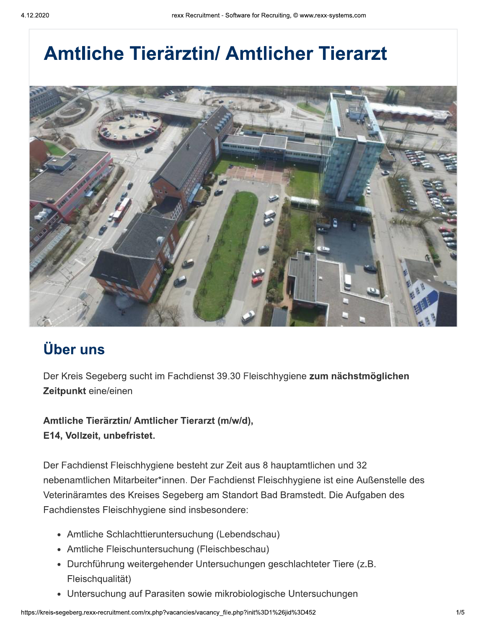# **Amtliche Tierärztin/ Amtlicher Tierarzt**



## **Über uns**

Der Kreis Segeberg sucht im Fachdienst 39.30 Fleischhygiene zum nächstmöglichen Zeitpunkt eine/einen

Amtliche Tierärztin/ Amtlicher Tierarzt (m/w/d), E14, Vollzeit, unbefristet.

Der Fachdienst Fleischhygiene besteht zur Zeit aus 8 hauptamtlichen und 32 nebenamtlichen Mitarbeiter\*innen. Der Fachdienst Fleischhygiene ist eine Außenstelle des Veterinäramtes des Kreises Segeberg am Standort Bad Bramstedt. Die Aufgaben des Fachdienstes Fleischhygiene sind insbesondere:

- Amtliche Schlachttieruntersuchung (Lebendschau)
- Amtliche Fleischuntersuchung (Fleischbeschau)
- · Durchführung weitergehender Untersuchungen geschlachteter Tiere (z.B. Fleischqualität)
- Untersuchung auf Parasiten sowie mikrobiologische Untersuchungen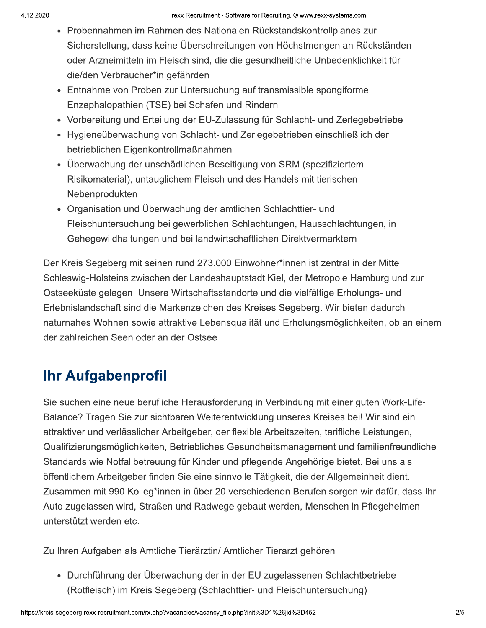- Probennahmen im Rahmen des Nationalen Rückstandskontrollplanes zur Sicherstellung, dass keine Überschreitungen von Höchstmengen an Rückständen oder Arzneimitteln im Fleisch sind, die die gesundheitliche Unbedenklichkeit für die/den Verbraucher\*in gefährden
- Entnahme von Proben zur Untersuchung auf transmissible spongiforme Enzephalopathien (TSE) bei Schafen und Rindern
- Vorbereitung und Erteilung der EU-Zulassung für Schlacht- und Zerlegebetriebe
- Hygieneüberwachung von Schlacht- und Zerlegebetrieben einschließlich der betrieblichen Eigenkontrollmaßnahmen
- Überwachung der unschädlichen Beseitigung von SRM (spezifiziertem Risikomaterial), untauglichem Fleisch und des Handels mit tierischen Nebenprodukten
- Organisation und Überwachung der amtlichen Schlachttier- und Fleischuntersuchung bei gewerblichen Schlachtungen, Hausschlachtungen, in Gehegewildhaltungen und bei landwirtschaftlichen Direktvermarktern

Der Kreis Segeberg mit seinen rund 273.000 Einwohner\*innen ist zentral in der Mitte Schleswig-Holsteins zwischen der Landeshauptstadt Kiel, der Metropole Hamburg und zur Ostseeküste gelegen. Unsere Wirtschaftsstandorte und die vielfältige Erholungs- und Erlebnislandschaft sind die Markenzeichen des Kreises Segeberg. Wir bieten dadurch naturnahes Wohnen sowie attraktive Lebensqualität und Erholungsmöglichkeiten, ob an einem der zahlreichen Seen oder an der Ostsee.

### **Ihr Aufgabenprofil**

Sie suchen eine neue berufliche Herausforderung in Verbindung mit einer guten Work-Life-Balance? Tragen Sie zur sichtbaren Weiterentwicklung unseres Kreises bei! Wir sind ein attraktiver und verlässlicher Arbeitgeber, der flexible Arbeitszeiten, tarifliche Leistungen, Qualifizierungsmöglichkeiten, Betriebliches Gesundheitsmanagement und familienfreundliche Standards wie Notfallbetreuung für Kinder und pflegende Angehörige bietet. Bei uns als öffentlichem Arbeitgeber finden Sie eine sinnvolle Tätigkeit, die der Allgemeinheit dient. Zusammen mit 990 Kolleg\*innen in über 20 verschiedenen Berufen sorgen wir dafür, dass Ihr Auto zugelassen wird, Straßen und Radwege gebaut werden, Menschen in Pflegeheimen unterstützt werden etc.

Zu Ihren Aufgaben als Amtliche Tierärztin/ Amtlicher Tierarzt gehören

• Durchführung der Überwachung der in der EU zugelassenen Schlachtbetriebe (Rotfleisch) im Kreis Segeberg (Schlachttier- und Fleischuntersuchung)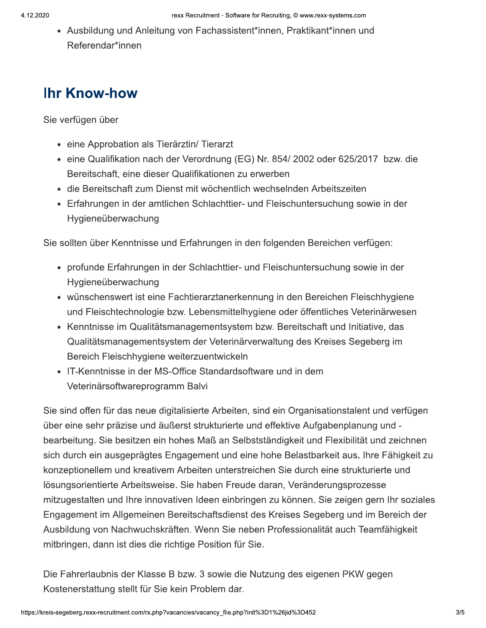• Ausbildung und Anleitung von Fachassistent\*innen, Praktikant\*innen und Referendar\*innen

#### **Ihr Know-how**

Sie verfügen über

- eine Approbation als Tierärztin/ Tierarzt
- eine Qualifikation nach der Verordnung (EG) Nr. 854/2002 oder 625/2017 bzw. die Bereitschaft, eine dieser Qualifikationen zu erwerben
- · die Bereitschaft zum Dienst mit wöchentlich wechselnden Arbeitszeiten
- Erfahrungen in der amtlichen Schlachttier- und Fleischuntersuchung sowie in der Hygieneüberwachung

Sie sollten über Kenntnisse und Erfahrungen in den folgenden Bereichen verfügen:

- profunde Erfahrungen in der Schlachttier- und Fleischuntersuchung sowie in der Hygieneüberwachung
- wünschenswert ist eine Fachtierarztanerkennung in den Bereichen Fleischhygiene und Fleischtechnologie bzw. Lebensmittelhygiene oder öffentliches Veterinärwesen
- Kenntnisse im Qualitätsmanagementsystem bzw. Bereitschaft und Initiative, das Qualitätsmanagementsystem der Veterinärverwaltung des Kreises Segeberg im Bereich Fleischhygiene weiterzuentwickeln
- IT-Kenntnisse in der MS-Office Standardsoftware und in dem Veterinärsoftwareprogramm Balvi

Sie sind offen für das neue digitalisierte Arbeiten, sind ein Organisationstalent und verfügen über eine sehr präzise und äußerst strukturierte und effektive Aufgabenplanung und bearbeitung. Sie besitzen ein hohes Maß an Selbstständigkeit und Flexibilität und zeichnen sich durch ein ausgeprägtes Engagement und eine hohe Belastbarkeit aus. Ihre Fähigkeit zu konzeptionellem und kreativem Arbeiten unterstreichen Sie durch eine strukturierte und lösungsorientierte Arbeitsweise. Sie haben Freude daran, Veränderungsprozesse mitzugestalten und Ihre innovativen Ideen einbringen zu können. Sie zeigen gern Ihr soziales Engagement im Allgemeinen Bereitschaftsdienst des Kreises Segeberg und im Bereich der Ausbildung von Nachwuchskräften. Wenn Sie neben Professionalität auch Teamfähigkeit mitbringen, dann ist dies die richtige Position für Sie.

Die Fahrerlaubnis der Klasse B bzw. 3 sowie die Nutzung des eigenen PKW gegen Kostenerstattung stellt für Sie kein Problem dar.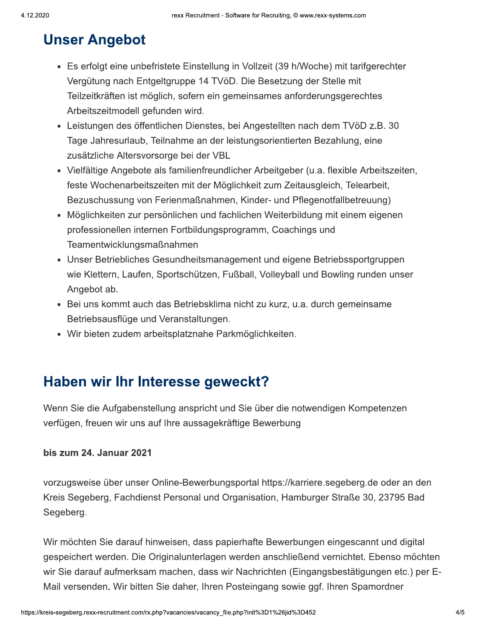# **Unser Angebot**

- Es erfolgt eine unbefristete Einstellung in Vollzeit (39 h/Woche) mit tarifgerechter Vergütung nach Entgeltgruppe 14 TVöD. Die Besetzung der Stelle mit Teilzeitkräften ist möglich, sofern ein gemeinsames anforderungsgerechtes Arbeitszeitmodell gefunden wird.
- Leistungen des öffentlichen Dienstes, bei Angestellten nach dem TVöD z.B. 30 Tage Jahresurlaub, Teilnahme an der leistungsorientierten Bezahlung, eine zusätzliche Altersvorsorge bei der VBL
- Vielfältige Angebote als familienfreundlicher Arbeitgeber (u.a. flexible Arbeitszeiten, feste Wochenarbeitszeiten mit der Möglichkeit zum Zeitausgleich, Telearbeit, Bezuschussung von Ferienmaßnahmen, Kinder- und Pflegenotfallbetreuung)
- Möglichkeiten zur persönlichen und fachlichen Weiterbildung mit einem eigenen professionellen internen Fortbildungsprogramm, Coachings und Teamentwicklungsmaßnahmen
- Unser Betriebliches Gesundheitsmanagement und eigene Betriebssportgruppen wie Klettern, Laufen, Sportschützen, Fußball, Volleyball und Bowling runden unser Angebot ab.
- Bei uns kommt auch das Betriebsklima nicht zu kurz, u.a. durch gemeinsame Betriebsausflüge und Veranstaltungen.
- · Wir bieten zudem arbeitsplatznahe Parkmöglichkeiten.

#### Haben wir Ihr Interesse geweckt?

Wenn Sie die Aufgabenstellung anspricht und Sie über die notwendigen Kompetenzen verfügen, freuen wir uns auf Ihre aussagekräftige Bewerbung

#### bis zum 24. Januar 2021

vorzugsweise über unser Online-Bewerbungsportal https://karriere.segeberg.de oder an den Kreis Segeberg, Fachdienst Personal und Organisation, Hamburger Straße 30, 23795 Bad Segeberg.

Wir möchten Sie darauf hinweisen, dass papierhafte Bewerbungen eingescannt und digital gespeichert werden. Die Originalunterlagen werden anschließend vernichtet. Ebenso möchten wir Sie darauf aufmerksam machen, dass wir Nachrichten (Eingangsbestätigungen etc.) per E-Mail versenden. Wir bitten Sie daher, Ihren Posteingang sowie ggf. Ihren Spamordner